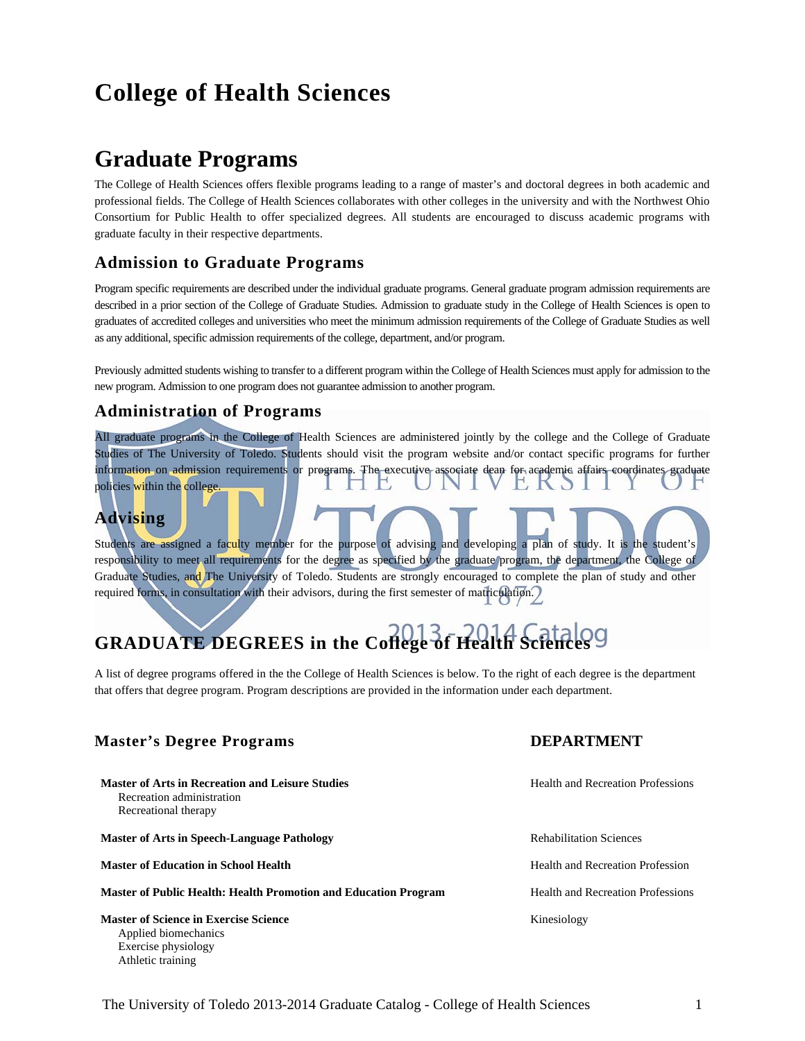## **College of Health Sciences**

## **Graduate Programs**

The College of Health Sciences offers flexible programs leading to a range of master's and doctoral degrees in both academic and professional fields. The College of Health Sciences collaborates with other colleges in the university and with the Northwest Ohio Consortium for Public Health to offer specialized degrees. All students are encouraged to discuss academic programs with graduate faculty in their respective departments.

### **Admission to Graduate Programs**

Program specific requirements are described under the individual graduate programs. General graduate program admission requirements are described in a prior section of the College of Graduate Studies. Admission to graduate study in the College of Health Sciences is open to graduates of accredited colleges and universities who meet the minimum admission requirements of the College of Graduate Studies as well as any additional, specific admission requirements of the college, department, and/or program.

Previously admitted students wishing to transfer to a different program within the College of Health Sciences must apply for admission to the new program. Admission to one program does not guarantee admission to another program.

### **Administration of Programs**

All graduate programs in the College of Health Sciences are administered jointly by the college and the College of Graduate Studies of The University of Toledo. Students should visit the program website and/or contact specific programs for further information on admission requirements or programs. The executive associate dean for academic affairs coordinates graduate policies within the college.

## **Advising**

Students are assigned a faculty member for the purpose of advising and developing a plan of study. It is the student's responsibility to meet all requirements for the degree as specified by the graduate program, the department, the College of Graduate Studies, and The University of Toledo. Students are strongly encouraged to complete the plan of study and other required forms, in consultation with their advisors, during the first semester of matriculation.

# **GRADUATE DEGREES in the College of Health Sciences**

A list of degree programs offered in the the College of Health Sciences is below. To the right of each degree is the department that offers that degree program. Program descriptions are provided in the information under each department.

### **Master's Degree Programs DEPARTMENT**

**Master of Arts in Recreation and Leisure Studies Health and Recreation Professions Health and Recreation Professions**  Recreation administration Recreational therapy

**Master of Arts in Speech-Language Pathology <b>Rehabilitation Sciences** Rehabilitation Sciences

**Master of Education in School Health Health Health and Recreation Profession** 

**Master of Public Health: Health Promotion and Education Program Fealth and Recreation Professions** 

**Master of Science in Exercise Science Kinesiology Kinesiology**  Applied biomechanics Exercise physiology Athletic training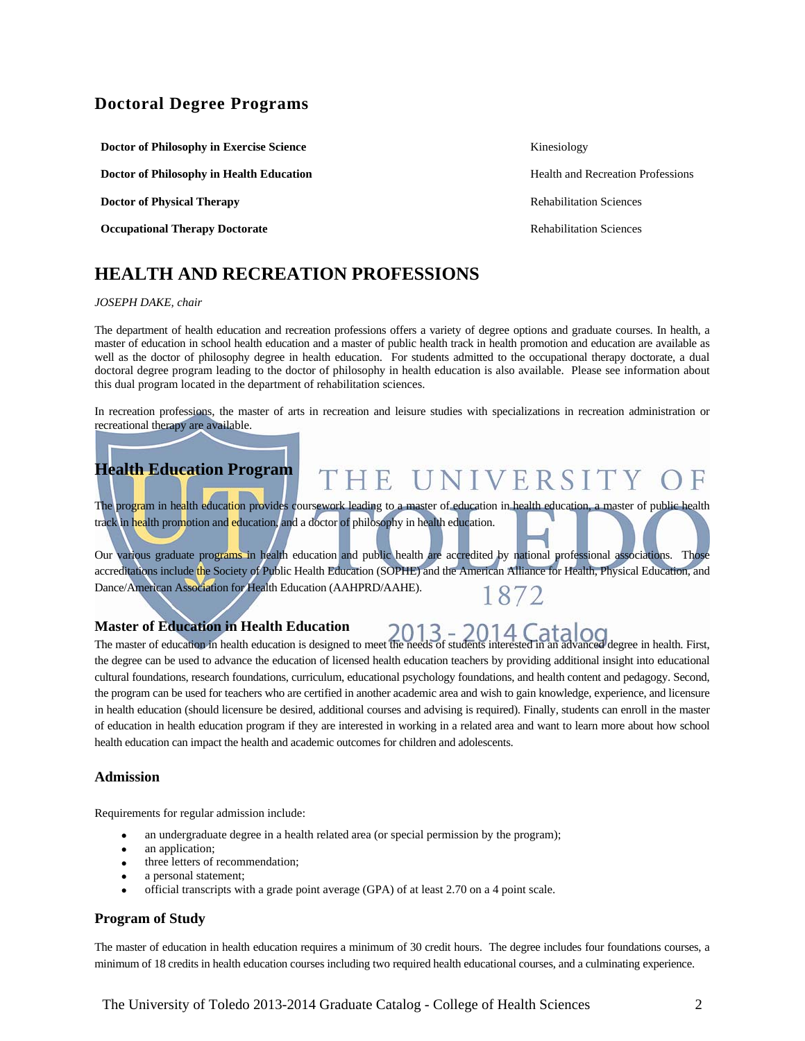### **Doctoral Degree Programs**

**Doctor of Philosophy in Exercise Science** Kinesiology

**Doctor of Philosophy in Health Education <b>Health Education Health and Recreation Professions** 

**Doctor of Physical Therapy** *Doctor of Physical Therapy Rehabilitation Sciences* 

**Occupational Therapy Doctorate Rehabilitation Sciences Rehabilitation Sciences** 

## **HEALTH AND RECREATION PROFESSIONS**

#### *JOSEPH DAKE, chair*

The department of health education and recreation professions offers a variety of degree options and graduate courses. In health, a master of education in school health education and a master of public health track in health promotion and education are available as well as the doctor of philosophy degree in health education. For students admitted to the occupational therapy doctorate, a dual doctoral degree program leading to the doctor of philosophy in health education is also available. Please see information about this dual program located in the department of rehabilitation sciences.

In recreation professions, the master of arts in recreation and leisure studies with specializations in recreation administration or recreational therapy are available.

## **Health Education Program**

## THE UNIVERSITY

The program in health education provides coursework leading to a master of education in health education, a master of public health track in health promotion and education, and a doctor of philosophy in health education.

Our various graduate programs in health education and public health are accredited by national professional associations. Those accreditations include the Society of Public Health Education (SOPHE) and the American Alliance for Health, Physical Education, and Dance/American Association for Health Education (AAHPRD/AAHE). 1872

#### **Master of Education in Health Education**

The master of education in health education is designed to meet the needs of students interested in an advanced degree in health. First, the degree can be used to advance the education of licensed health education teachers by providing additional insight into educational cultural foundations, research foundations, curriculum, educational psychology foundations, and health content and pedagogy. Second, the program can be used for teachers who are certified in another academic area and wish to gain knowledge, experience, and licensure in health education (should licensure be desired, additional courses and advising is required). Finally, students can enroll in the master of education in health education program if they are interested in working in a related area and want to learn more about how school health education can impact the health and academic outcomes for children and adolescents.

#### **Admission**

Requirements for regular admission include:

- an undergraduate degree in a health related area (or special permission by the program);
- an application;
- three letters of recommendation;
- a personal statement;
- official transcripts with a grade point average (GPA) of at least 2.70 on a 4 point scale.

#### **Program of Study**

The master of education in health education requires a minimum of 30 credit hours. The degree includes four foundations courses, a minimum of 18 credits in health education courses including two required health educational courses, and a culminating experience.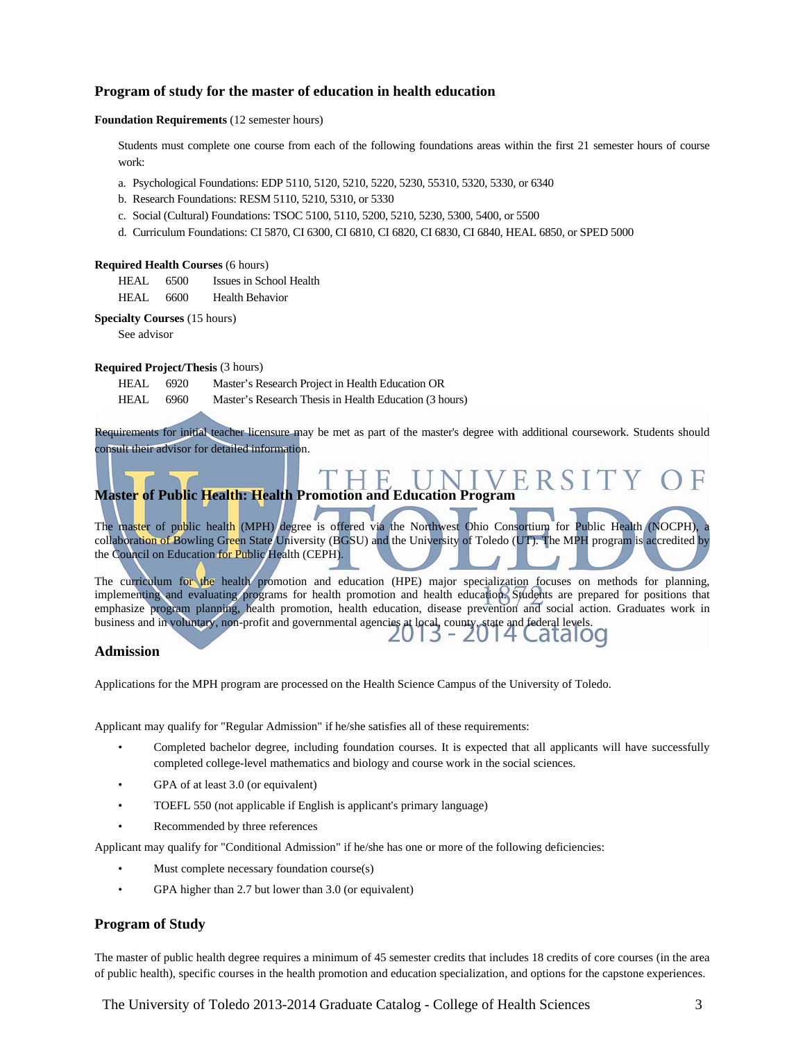#### **Program of study for the master of education in health education**

#### **Foundation Requirements** (12 semester hours)

Students must complete one course from each of the following foundations areas within the first 21 semester hours of course work:

- a. Psychological Foundations: EDP 5110, 5120, 5210, 5220, 5230, 55310, 5320, 5330, or 6340
- b. Research Foundations: RESM 5110, 5210, 5310, or 5330
- c. Social (Cultural) Foundations: TSOC 5100, 5110, 5200, 5210, 5230, 5300, 5400, or 5500
- d. Curriculum Foundations: CI 5870, CI 6300, CI 6810, CI 6820, CI 6830, CI 6840, HEAL 6850, or SPED 5000

#### **Required Health Courses** (6 hours)

- HEAL 6500 Issues in School Health
- HEAL 6600 Health Behavior

**Specialty Courses** (15 hours)

See advisor

#### **Required Project/Thesis** (3 hours)

- HEAL 6920 Master's Research Project in Health Education OR
- HEAL 6960 Master's Research Thesis in Health Education (3 hours)

Requirements for initial teacher licensure may be met as part of the master's degree with additional coursework. Students should consult their advisor for detailed information.

## **Master of Public Health: Health Promotion and Education Program**

The master of public health (MPH) degree is offered via the Northwest Ohio Consortium for Public Health (NOCPH), collaboration of Bowling Green State University (BGSU) and the University of Toledo (UT). The MPH program is accredited by the Council on Education for Public Health (CEPH).

The curriculum for the health promotion and education (HPE) major specialization focuses on methods for planning, implementing and evaluating programs for health promotion and health education. Students are prepared for positions that emphasize program planning, health promotion, health education, disease prevention and social action. Graduates work in business and in voluntary, non-profit and governmental agencies at local, county, state and federal levels.

#### **Admission**

Applications for the MPH program are processed on the Health Science Campus of the University of Toledo.

Applicant may qualify for "Regular Admission" if he/she satisfies all of these requirements:

- Completed bachelor degree, including foundation courses. It is expected that all applicants will have successfully completed college-level mathematics and biology and course work in the social sciences.
- GPA of at least 3.0 (or equivalent)
- TOEFL 550 (not applicable if English is applicant's primary language)
- Recommended by three references

Applicant may qualify for "Conditional Admission" if he/she has one or more of the following deficiencies:

- Must complete necessary foundation course(s)
- GPA higher than 2.7 but lower than 3.0 (or equivalent)

#### **Program of Study**

The master of public health degree requires a minimum of 45 semester credits that includes 18 credits of core courses (in the area of public health), specific courses in the health promotion and education specialization, and options for the capstone experiences.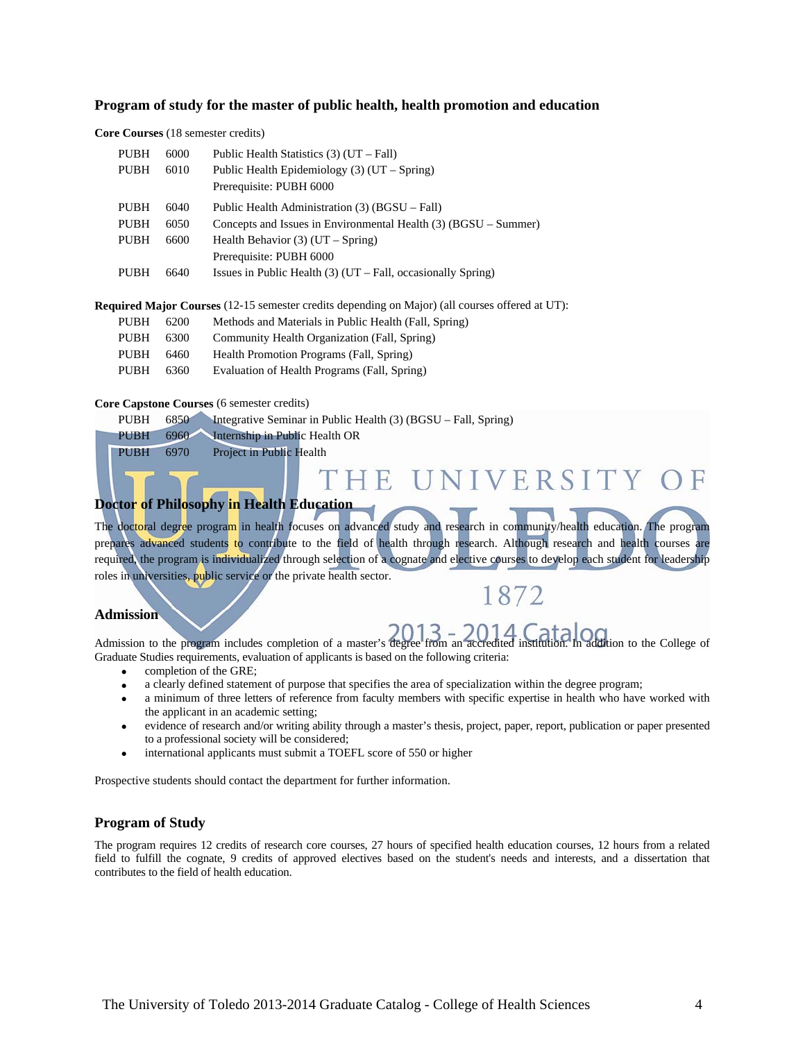#### **Program of study for the master of public health, health promotion and education**

#### **Core Courses** (18 semester credits)

| <b>PUBH</b> | 6000 | Public Health Statistics $(3)$ (UT – Fall)                      |
|-------------|------|-----------------------------------------------------------------|
| <b>PUBH</b> | 6010 | Public Health Epidemiology $(3)$ (UT – Spring)                  |
|             |      | Prerequisite: PUBH 6000                                         |
| <b>PUBH</b> | 6040 | Public Health Administration (3) (BGSU – Fall)                  |
| <b>PUBH</b> | 6050 | Concepts and Issues in Environmental Health (3) (BGSU – Summer) |
| <b>PUBH</b> | 6600 | Health Behavior $(3)$ (UT – Spring)                             |
|             |      | Prerequisite: PUBH 6000                                         |
| <b>PUBH</b> | 6640 | Issues in Public Health $(3)$ (UT – Fall, occasionally Spring)  |
|             |      |                                                                 |

**Required Major Courses** (12-15 semester credits depending on Major) (all courses offered at UT):

| PUBH  | -6200  | Methods and Materials in Public Health (Fall, Spring) |
|-------|--------|-------------------------------------------------------|
| PUBH. | - 6300 | Community Health Organization (Fall, Spring)          |

- PUBH 6460 Health Promotion Programs (Fall, Spring)
- PUBH 6360 Evaluation of Health Programs (Fall, Spring)

#### **Core Capstone Courses** (6 semester credits)

| <b>PUBH</b> | 6850 | Integrative Seminar in Public Health $(3)$ (BGSU – Fall, Spring) |
|-------------|------|------------------------------------------------------------------|
| <b>PUBH</b> |      | 6960 Internship in Public Health OR                              |
| <b>PUBH</b> | 6970 | Project in Public Health                                         |

## THE UNIVERSITY

### **Doctor of Philosophy in Health Education**

The doctoral degree program in health focuses on advanced study and research in community/health education. The program prepares advanced students to contribute to the field of health through research. Although research and health courses are required, the program is individualized through selection of a cognate and elective courses to develop each student for leadership roles in universities, public service or the private health sector.

## 1872

#### **Admission**

Admission to the program includes completion of a master's degree from an accredited institution. In addition to the College of Graduate Studies requirements, evaluation of applicants is based on the following criteria:

- completion of the GRE;
- a clearly defined statement of purpose that specifies the area of specialization within the degree program;
- a minimum of three letters of reference from faculty members with specific expertise in health who have worked with the applicant in an academic setting;
- evidence of research and/or writing ability through a master's thesis, project, paper, report, publication or paper presented to a professional society will be considered;
- international applicants must submit a TOEFL score of 550 or higher

Prospective students should contact the department for further information.

#### **Program of Study**

The program requires 12 credits of research core courses, 27 hours of specified health education courses, 12 hours from a related field to fulfill the cognate, 9 credits of approved electives based on the student's needs and interests, and a dissertation that contributes to the field of health education.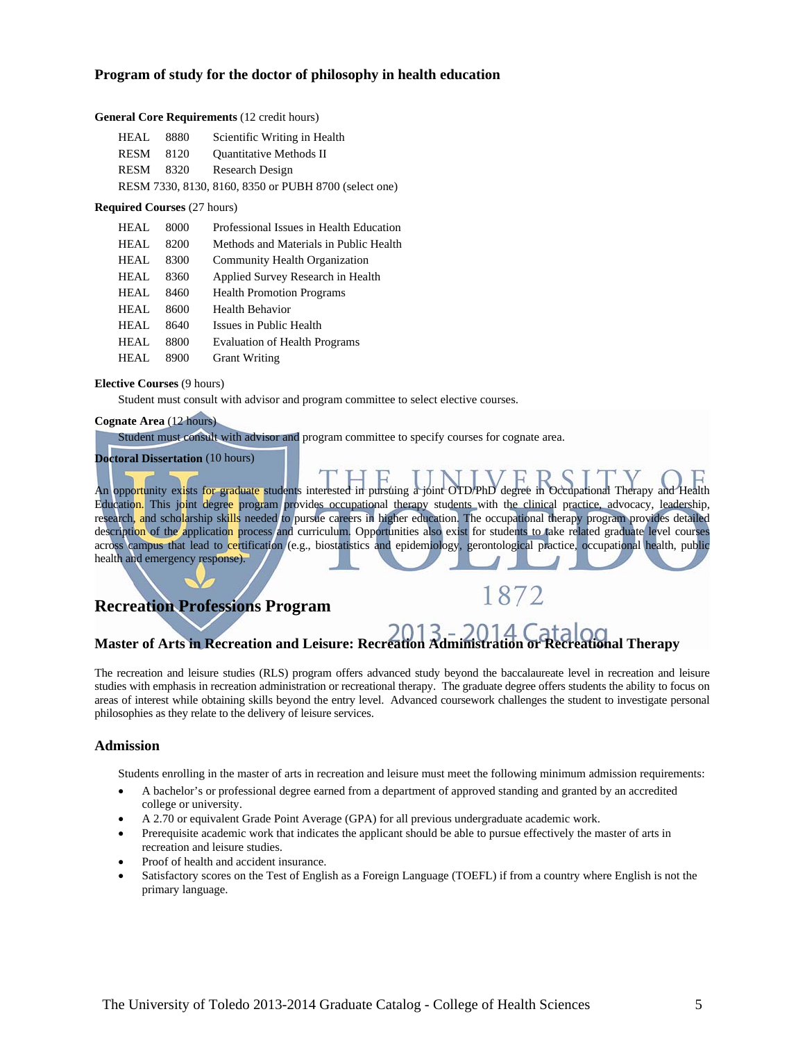#### **Program of study for the doctor of philosophy in health education**

#### **General Core Requirements** (12 credit hours)

| HEAL | 8880 | Scientific Writing in Health                          |
|------|------|-------------------------------------------------------|
| RESM | 8120 | <b>Ouantitative Methods II</b>                        |
| RESM | 8320 | Research Design                                       |
|      |      | RESM 7330, 8130, 8160, 8350 or PUBH 8700 (select one) |

#### **Required Courses** (27 hours)

| HEAL | 8000 | Professional Issues in Health Education |
|------|------|-----------------------------------------|
| HEAL | 8200 | Methods and Materials in Public Health  |
| HEAL | 8300 | Community Health Organization           |
| HEAL | 8360 | Applied Survey Research in Health       |
| HEAL | 8460 | <b>Health Promotion Programs</b>        |
| HEAL | 8600 | Health Behavior                         |
| HEAL | 8640 | Issues in Public Health                 |
| HEAL | 8800 | <b>Evaluation of Health Programs</b>    |
| HEAL | 8900 | <b>Grant Writing</b>                    |

#### **Elective Courses** (9 hours)

Student must consult with advisor and program committee to select elective courses.

#### **Cognate Area** (12 hours)

Student must consult with advisor and program committee to specify courses for cognate area.

**Doctoral Dissertation** (10 hours)

An opportunity exists for graduate students interested in pursuing a joint OTD/PhD degree in Occupational Therapy and Health Education. This joint degree program provides occupational therapy students with the clinical practice, advocacy, leadership, research, and scholarship skills needed to pursue careers in higher education. The occupational therapy program provides detailed description of the application process and curriculum. Opportunities also exist for students to take related graduate level courses across campus that lead to certification (e.g., biostatistics and epidemiology, gerontological practice, occupational health, public health and emergency response).

## **Recreation Professions Program**



## **Master of Arts in Recreation and Leisure: Recreation Administration or Recreational Therapy**

The recreation and leisure studies (RLS) program offers advanced study beyond the baccalaureate level in recreation and leisure studies with emphasis in recreation administration or recreational therapy. The graduate degree offers students the ability to focus on areas of interest while obtaining skills beyond the entry level. Advanced coursework challenges the student to investigate personal philosophies as they relate to the delivery of leisure services.

#### **Admission**

Students enrolling in the master of arts in recreation and leisure must meet the following minimum admission requirements:

- A bachelor's or professional degree earned from a department of approved standing and granted by an accredited college or university.
- A 2.70 or equivalent Grade Point Average (GPA) for all previous undergraduate academic work.
- Prerequisite academic work that indicates the applicant should be able to pursue effectively the master of arts in recreation and leisure studies.
- Proof of health and accident insurance.
- Satisfactory scores on the Test of English as a Foreign Language (TOEFL) if from a country where English is not the primary language.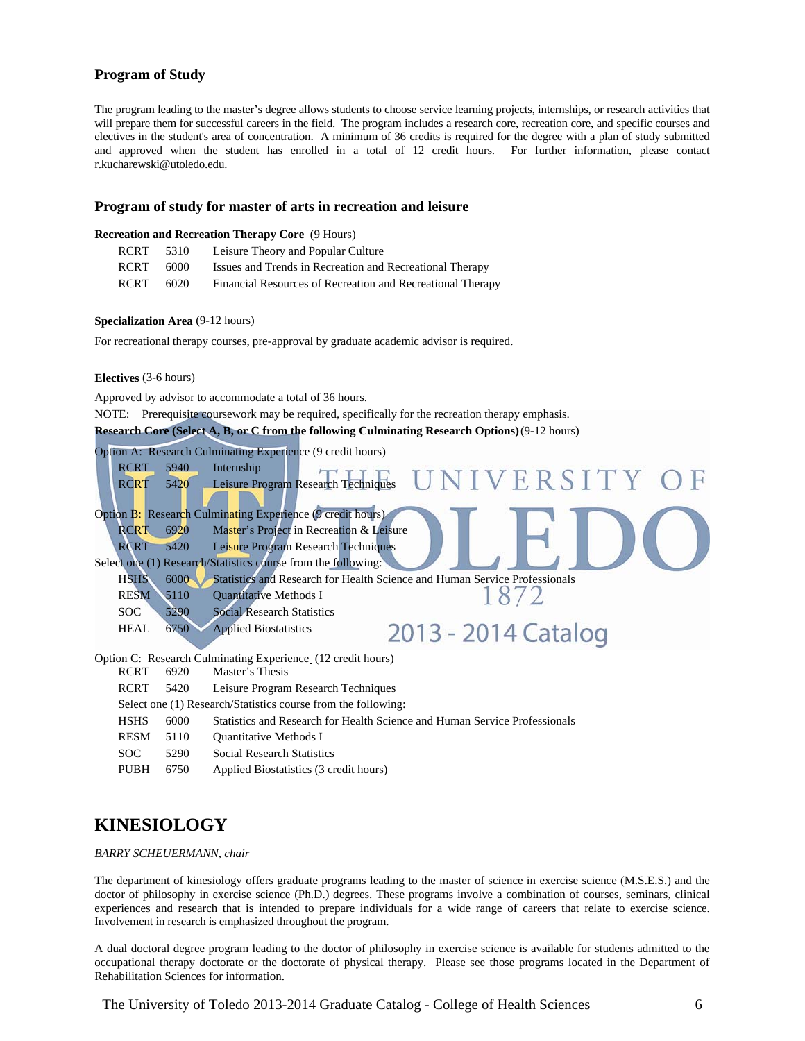#### **Program of Study**

The program leading to the master's degree allows students to choose service learning projects, internships, or research activities that will prepare them for successful careers in the field. The program includes a research core, recreation core, and specific courses and electives in the student's area of concentration. A minimum of 36 credits is required for the degree with a plan of study submitted and approved when the student has enrolled in a total of 12 credit hours. For further information, please contact r.kucharewski@utoledo.edu.

#### **Program of study for master of arts in recreation and leisure**

#### **Recreation and Recreation Therapy Core** (9 Hours)

| RCRT        | 5310 | Leisure Theory and Popular Culture                         |
|-------------|------|------------------------------------------------------------|
| <b>RCRT</b> | 6000 | Issues and Trends in Recreation and Recreational Therapy   |
| <b>RCRT</b> | 6020 | Financial Resources of Recreation and Recreational Therapy |

#### **Specialization Area** (9-12 hours)

For recreational therapy courses, pre-approval by graduate academic advisor is required.

#### **Electives** (3-6 hours)

Approved by advisor to accommodate a total of 36 hours.

NOTE: Prerequisite coursework may be required, specifically for the recreation therapy emphasis.

**Research Core (Select A, B, or C from the following Culminating Research Options)** (9-12 hours)



- SOC 5290 Social Research Statistics
- 
- PUBH 6750 Applied Biostatistics (3 credit hours)

### **KINESIOLOGY**

#### *BARRY SCHEUERMANN, chair*

The department of kinesiology offers graduate programs leading to the master of science in exercise science (M.S.E.S.) and the doctor of philosophy in exercise science (Ph.D.) degrees. These programs involve a combination of courses, seminars, clinical experiences and research that is intended to prepare individuals for a wide range of careers that relate to exercise science. Involvement in research is emphasized throughout the program.

A dual doctoral degree program leading to the doctor of philosophy in exercise science is available for students admitted to the occupational therapy doctorate or the doctorate of physical therapy. Please see those programs located in the Department of Rehabilitation Sciences for information.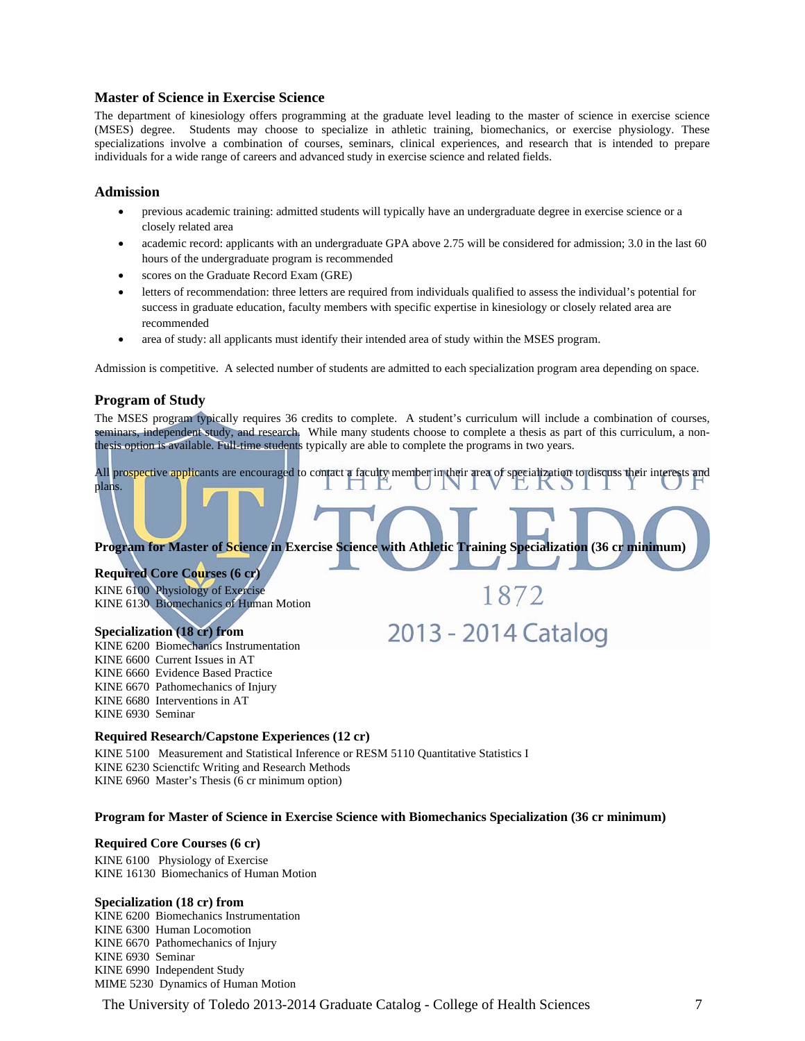#### **Master of Science in Exercise Science**

The department of kinesiology offers programming at the graduate level leading to the master of science in exercise science (MSES) degree. Students may choose to specialize in athletic training, biomechanics, or exercise physiology. These specializations involve a combination of courses, seminars, clinical experiences, and research that is intended to prepare individuals for a wide range of careers and advanced study in exercise science and related fields.

#### **Admission**

- previous academic training: admitted students will typically have an undergraduate degree in exercise science or a closely related area
- academic record: applicants with an undergraduate GPA above 2.75 will be considered for admission; 3.0 in the last 60 hours of the undergraduate program is recommended
- scores on the Graduate Record Exam (GRE)
- letters of recommendation: three letters are required from individuals qualified to assess the individual's potential for success in graduate education, faculty members with specific expertise in kinesiology or closely related area are recommended
- area of study: all applicants must identify their intended area of study within the MSES program.

Admission is competitive. A selected number of students are admitted to each specialization program area depending on space.

#### **Program of Study**

The MSES program typically requires 36 credits to complete. A student's curriculum will include a combination of courses, seminars, independent study, and research. While many students choose to complete a thesis as part of this curriculum, a nonthesis option is available. Full-time students typically are able to complete the programs in two years.

## All prospective applicants are encouraged to contact a faculty member in their area of specialization to discuss their interests and plans.

1872

2013 - 2014 Catalog

**Program for Master of Science in Exercise Science with Athletic Training Specialization (36 cr minimum)** 

#### **Required Core Courses (6 cr)**

KINE 6100 Physiology of Exercise KINE 6130 Biomechanics of Human Motion

#### **Specialization (18 cr) from**

KINE 6200 Biomechanics Instrumentation KINE 6600 Current Issues in AT KINE 6660 Evidence Based Practice KINE 6670 Pathomechanics of Injury KINE 6680 Interventions in AT KINE 6930 Seminar

#### **Required Research/Capstone Experiences (12 cr)**

KINE 5100 Measurement and Statistical Inference or RESM 5110 Quantitative Statistics I KINE 6230 Scienctifc Writing and Research Methods KINE 6960 Master's Thesis (6 cr minimum option)

#### **Program for Master of Science in Exercise Science with Biomechanics Specialization (36 cr minimum)**

#### **Required Core Courses (6 cr)**

KINE 6100 Physiology of Exercise KINE 16130 Biomechanics of Human Motion

#### **Specialization (18 cr) from**

KINE 6200 Biomechanics Instrumentation KINE 6300 Human Locomotion KINE 6670 Pathomechanics of Injury KINE 6930 Seminar KINE 6990 Independent Study MIME 5230 Dynamics of Human Motion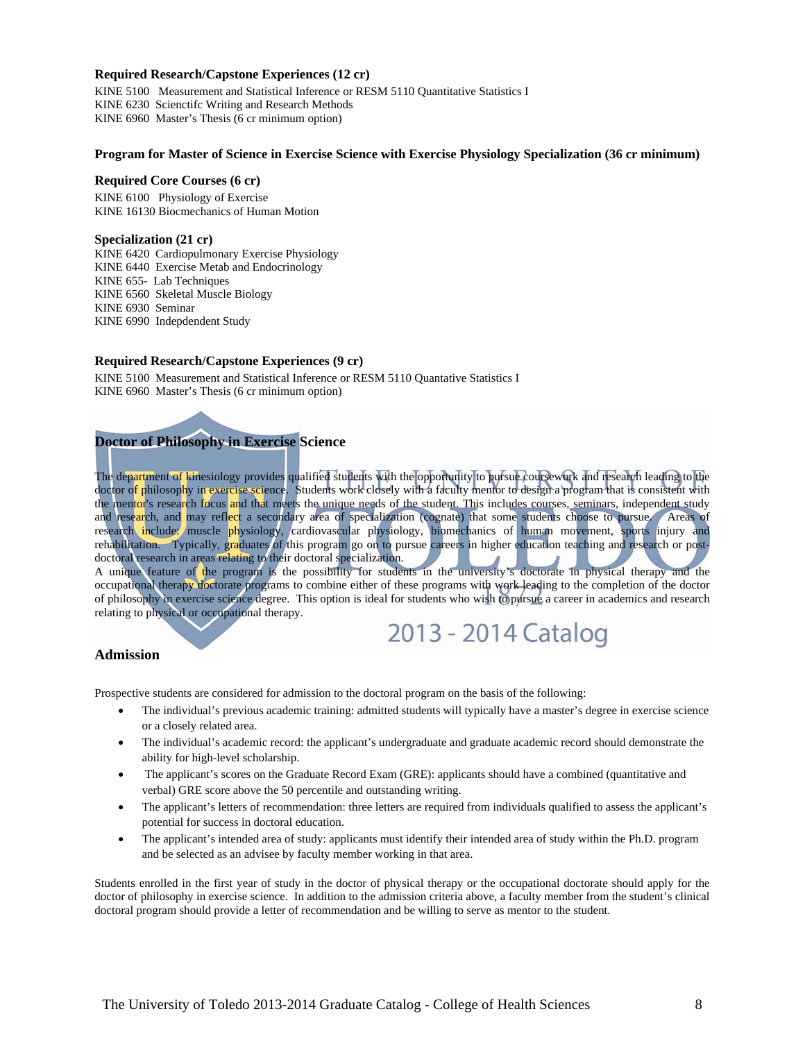#### **Required Research/Capstone Experiences (12 cr)**

KINE 5100 Measurement and Statistical Inference or RESM 5110 Quantitative Statistics I KINE 6230 Scienctifc Writing and Research Methods KINE 6960 Master's Thesis (6 cr minimum option)

#### **Program for Master of Science in Exercise Science with Exercise Physiology Specialization (36 cr minimum)**

#### **Required Core Courses (6 cr)**

KINE 6100 Physiology of Exercise KINE 16130 Biocmechanics of Human Motion

#### **Specialization (21 cr)**

KINE 6420 Cardiopulmonary Exercise Physiology KINE 6440 Exercise Metab and Endocrinology KINE 655- Lab Techniques KINE 6560 Skeletal Muscle Biology KINE 6930 Seminar KINE 6990 Indepdendent Study

#### **Required Research/Capstone Experiences (9 cr)**

KINE 5100 Measurement and Statistical Inference or RESM 5110 Quantative Statistics I KINE 6960 Master's Thesis (6 cr minimum option)

### **Doctor of Philosophy in Exercise Science**

The department of kinesiology provides qualified students with the opportunity to pursue coursework and research leading to the doctor of philosophy in exercise science. Students work closely with a faculty mentor to design a program that is consistent with the mentor's research focus and that meets the unique needs of the student. This includes courses, seminars, independent study and research, and may reflect a secondary area of specialization (cognate) that some students choose to pursue. Areas of research include: muscle physiology, cardiovascular physiology, biomechanics of human movement, sports injury and rehabilitation. Typically, graduates of this program go on to pursue careers in higher education teaching and research or postdoctoral research in areas relating to their doctoral specialization.

A unique feature of the program is the possibility for students in the university's doctorate in physical therapy and the occupational therapy doctorate programs to combine either of these programs with work leading to the completion of the doctor of philosophy in exercise science degree. This option is ideal for students who wish to pursue a career in academics and research relating to physical or occupational therapy.

## 2013 - 2014 Catalog

#### **Admission**

Prospective students are considered for admission to the doctoral program on the basis of the following:

- The individual's previous academic training: admitted students will typically have a master's degree in exercise science or a closely related area.
- The individual's academic record: the applicant's undergraduate and graduate academic record should demonstrate the ability for high-level scholarship.
- The applicant's scores on the Graduate Record Exam (GRE): applicants should have a combined (quantitative and verbal) GRE score above the 50 percentile and outstanding writing.
- The applicant's letters of recommendation: three letters are required from individuals qualified to assess the applicant's potential for success in doctoral education.
- The applicant's intended area of study: applicants must identify their intended area of study within the Ph.D. program and be selected as an advisee by faculty member working in that area.

Students enrolled in the first year of study in the doctor of physical therapy or the occupational doctorate should apply for the doctor of philosophy in exercise science. In addition to the admission criteria above, a faculty member from the student's clinical doctoral program should provide a letter of recommendation and be willing to serve as mentor to the student.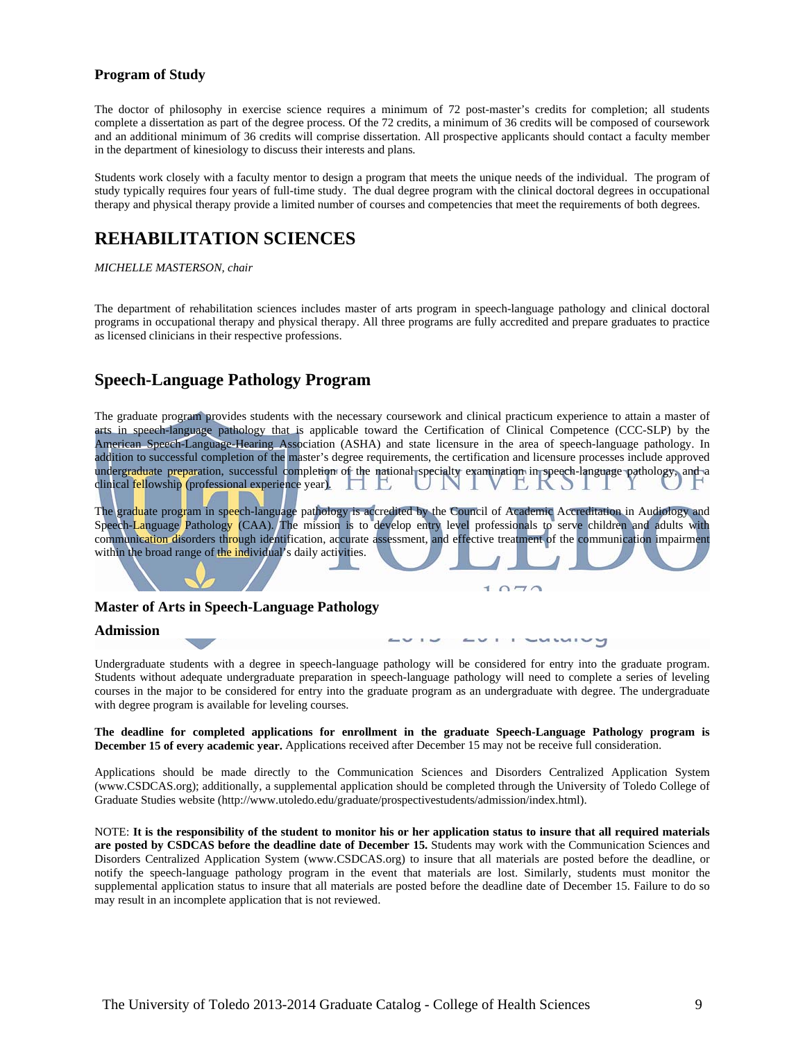#### **Program of Study**

The doctor of philosophy in exercise science requires a minimum of 72 post-master's credits for completion; all students complete a dissertation as part of the degree process. Of the 72 credits, a minimum of 36 credits will be composed of coursework and an additional minimum of 36 credits will comprise dissertation. All prospective applicants should contact a faculty member in the department of kinesiology to discuss their interests and plans.

Students work closely with a faculty mentor to design a program that meets the unique needs of the individual. The program of study typically requires four years of full-time study. The dual degree program with the clinical doctoral degrees in occupational therapy and physical therapy provide a limited number of courses and competencies that meet the requirements of both degrees.

## **REHABILITATION SCIENCES**

#### *MICHELLE MASTERSON, chair*

The department of rehabilitation sciences includes master of arts program in speech-language pathology and clinical doctoral programs in occupational therapy and physical therapy. All three programs are fully accredited and prepare graduates to practice as licensed clinicians in their respective professions.

### **Speech-Language Pathology Program**

The graduate program provides students with the necessary coursework and clinical practicum experience to attain a master of arts in speech-language pathology that is applicable toward the Certification of Clinical Competence (CCC-SLP) by the American Speech-Language-Hearing Association (ASHA) and state licensure in the area of speech-language pathology. In addition to successful completion of the master's degree requirements, the certification and licensure processes include approved undergraduate preparation, successful completion of the national specialty examination in speech-language pathology, and a clinical fellowship (professional experience year).  $\Box$ 

The graduate program in speech-language pathology is accredited by the Council of Academic Accreditation in Audiology and Speech-Language Pathology (CAA). The mission is to develop entry level professionals to serve children and adults with communication disorders through identification, accurate assessment, and effective treatment of the communication impairment within the broad range of the individual's daily activities.

#### **Master of Arts in Speech-Language Pathology**

#### **Admission**

Undergraduate students with a degree in speech-language pathology will be considered for entry into the graduate program. Students without adequate undergraduate preparation in speech-language pathology will need to complete a series of leveling courses in the major to be considered for entry into the graduate program as an undergraduate with degree. The undergraduate with degree program is available for leveling courses.

**The deadline for completed applications for enrollment in the graduate Speech-Language Pathology program is December 15 of every academic year.** Applications received after December 15 may not be receive full consideration.

Applications should be made directly to the Communication Sciences and Disorders Centralized Application System (www.CSDCAS.org); additionally, a supplemental application should be completed through the University of Toledo College of Graduate Studies website (http://www.utoledo.edu/graduate/prospectivestudents/admission/index.html).

NOTE: **It is the responsibility of the student to monitor his or her application status to insure that all required materials are posted by CSDCAS before the deadline date of December 15.** Students may work with the Communication Sciences and Disorders Centralized Application System (www.CSDCAS.org) to insure that all materials are posted before the deadline, or notify the speech-language pathology program in the event that materials are lost. Similarly, students must monitor the supplemental application status to insure that all materials are posted before the deadline date of December 15. Failure to do so may result in an incomplete application that is not reviewed.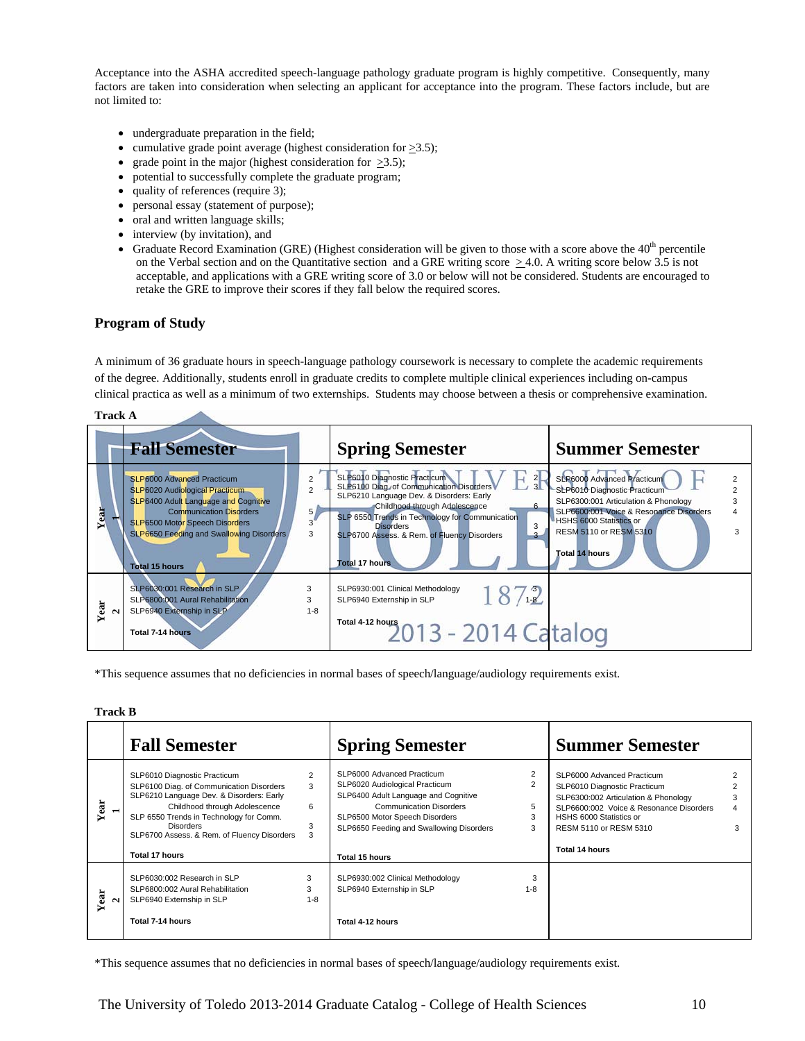Acceptance into the ASHA accredited speech-language pathology graduate program is highly competitive. Consequently, many factors are taken into consideration when selecting an applicant for acceptance into the program. These factors include, but are not limited to:

- undergraduate preparation in the field;
- cumulative grade point average (highest consideration for  $\geq 3.5$ );
- grade point in the major (highest consideration for  $\geq 3.5$ );
- potential to successfully complete the graduate program;
- quality of references (require 3);
- personal essay (statement of purpose);
- oral and written language skills;
- interview (by invitation), and
- Graduate Record Examination (GRE) (Highest consideration will be given to those with a score above the  $40<sup>th</sup>$  percentile on the Verbal section and on the Quantitative section and a GRE writing score  $> 4.0$ . A writing score below 3.5 is not acceptable, and applications with a GRE writing score of 3.0 or below will not be considered. Students are encouraged to retake the GRE to improve their scores if they fall below the required scores.

#### **Program of Study**

A minimum of 36 graduate hours in speech-language pathology coursework is necessary to complete the academic requirements of the degree. Additionally, students enroll in graduate credits to complete multiple clinical experiences including on-campus clinical practica as well as a minimum of two externships. Students may choose between a thesis or comprehensive examination.

|      | <b>Track A</b>                                                                                                                                                                                                                                                            |                                       |                                                                                                                                                                                                                                                                                                                            |                                                                                                                                                                                                                                    |  |  |
|------|---------------------------------------------------------------------------------------------------------------------------------------------------------------------------------------------------------------------------------------------------------------------------|---------------------------------------|----------------------------------------------------------------------------------------------------------------------------------------------------------------------------------------------------------------------------------------------------------------------------------------------------------------------------|------------------------------------------------------------------------------------------------------------------------------------------------------------------------------------------------------------------------------------|--|--|
|      | <b>Fall Semester</b>                                                                                                                                                                                                                                                      |                                       | <b>Spring Semester</b>                                                                                                                                                                                                                                                                                                     | <b>Summer Semester</b>                                                                                                                                                                                                             |  |  |
| Year | <b>SLP6000 Advanced Practicum</b><br><b>SLP6020 Audiological Practicum</b><br>SLP6400 Adult Language and Cognitive<br><b>Communication Disorders</b><br><b>SLP6500 Motor Speech Disorders</b><br><b>SLP6650 Feeding and Swallowing Disorders</b><br><b>Total 15 hours</b> | $\overline{2}$<br>5 <sub>1</sub><br>3 | SLP6010 Diagnostic Practicum<br>$\frac{2}{3}$<br>SLP6100 Diag. of Communication Disorders<br>SLP6210 Language Dev. & Disorders: Early<br>Childhood through Adolescence<br>SLP 6550 Trends in Technology for Communication<br>3<br><b>Disorders</b><br>SLP6700 Assess. & Rem. of Fluency Disorders<br><b>Total 17 hours</b> | SLP6000 Advanced Practicum<br>SLP6010 Diagnostic Practicum<br>SLP6300:001 Articulation & Phonology<br>SLP6600:001 Voice & Resonance Disorders<br>HSHS 6000 Statistics or<br><b>RESM 5110 or RESM 5310</b><br><b>Total 14 hours</b> |  |  |
| Year | SLP6030:001 Research in SLP<br>SLP6800:001 Aural Rehabilitation<br>SLP6940 Externship in SLP<br>Total 7-14 hours                                                                                                                                                          | 3<br>3<br>$1 - 8$                     | SLP6930:001 Clinical Methodology<br>1872<br>SLP6940 Externship in SLP<br>Total 4-12 hours<br>2013 - 2014 Catalog                                                                                                                                                                                                           |                                                                                                                                                                                                                                    |  |  |

\*This sequence assumes that no deficiencies in normal bases of speech/language/audiology requirements exist.

#### **Track B**

|                           | <b>Fall Semester</b>                                                                                                                                                                                                                                                                         |                   | <b>Spring Semester</b>                                                                                                                                                                                                                 |                                    | <b>Summer Semester</b>                                                                                                                                                                                               |             |
|---------------------------|----------------------------------------------------------------------------------------------------------------------------------------------------------------------------------------------------------------------------------------------------------------------------------------------|-------------------|----------------------------------------------------------------------------------------------------------------------------------------------------------------------------------------------------------------------------------------|------------------------------------|----------------------------------------------------------------------------------------------------------------------------------------------------------------------------------------------------------------------|-------------|
| Year<br>$\blacksquare$    | SLP6010 Diagnostic Practicum<br>SLP6100 Diag. of Communication Disorders<br>SLP6210 Language Dev. & Disorders: Early<br>Childhood through Adolescence<br>SLP 6550 Trends in Technology for Comm.<br><b>Disorders</b><br>SLP6700 Assess. & Rem. of Fluency Disorders<br><b>Total 17 hours</b> | 2<br>3<br>6<br>3  | SLP6000 Advanced Practicum<br>SLP6020 Audiological Practicum<br>SLP6400 Adult Language and Cognitive<br><b>Communication Disorders</b><br>SLP6500 Motor Speech Disorders<br>SLP6650 Feeding and Swallowing Disorders<br>Total 15 hours | $\overline{2}$<br>2<br>5<br>3<br>3 | SLP6000 Advanced Practicum<br>SLP6010 Diagnostic Practicum<br>SLP6300:002 Articulation & Phonology<br>SLP6600:002 Voice & Resonance Disorders<br>HSHS 6000 Statistics or<br>RESM 5110 or RESM 5310<br>Total 14 hours | 3<br>4<br>3 |
| Year<br>$\mathbf{\Omega}$ | SLP6030:002 Research in SLP<br>SLP6800:002 Aural Rehabilitation<br>SLP6940 Externship in SLP<br>Total 7-14 hours                                                                                                                                                                             | 3<br>3<br>$1 - 8$ | SLP6930:002 Clinical Methodology<br>SLP6940 Externship in SLP<br>Total 4-12 hours                                                                                                                                                      | 3<br>$1 - 8$                       |                                                                                                                                                                                                                      |             |

\*This sequence assumes that no deficiencies in normal bases of speech/language/audiology requirements exist.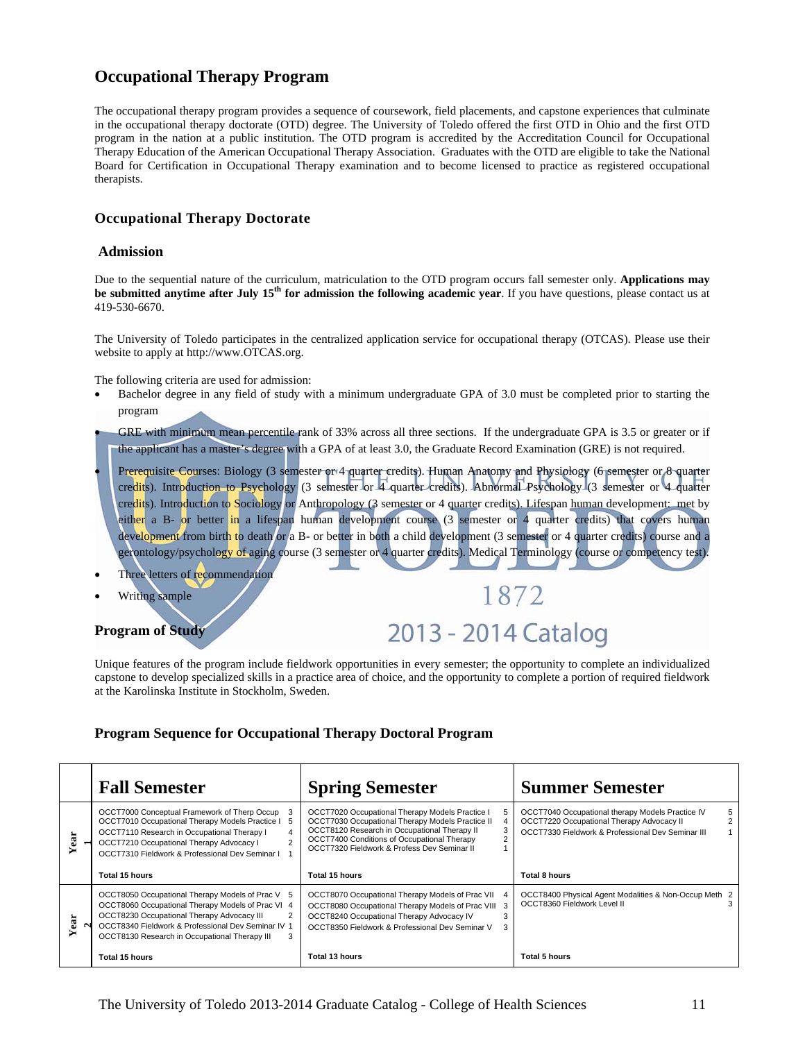### **Occupational Therapy Program**

The occupational therapy program provides a sequence of coursework, field placements, and capstone experiences that culminate in the occupational therapy doctorate (OTD) degree. The University of Toledo offered the first OTD in Ohio and the first OTD program in the nation at a public institution. The OTD program is accredited by the Accreditation Council for Occupational Therapy Education of the American Occupational Therapy Association. Graduates with the OTD are eligible to take the National Board for Certification in Occupational Therapy examination and to become licensed to practice as registered occupational therapists.

#### **Occupational Therapy Doctorate**

#### **Admission**

Due to the sequential nature of the curriculum, matriculation to the OTD program occurs fall semester only. **Applications may be submitted anytime after July 15<sup>th</sup> for admission the following academic year**. If you have questions, please contact us at 419-530-6670.

The University of Toledo participates in the centralized application service for occupational therapy (OTCAS). Please use their website to apply at http://www.OTCAS.org.

The following criteria are used for admission:

 Bachelor degree in any field of study with a minimum undergraduate GPA of 3.0 must be completed prior to starting the program

 GRE with minimum mean percentile rank of 33% across all three sections. If the undergraduate GPA is 3.5 or greater or if the applicant has a master's degree with a GPA of at least 3.0, the Graduate Record Examination (GRE) is not required.

- Prerequisite Courses: Biology (3 semester or 4 quarter credits). Human Anatomy and Physiology (6 semester or 8 quarter credits). Introduction to Psychology (3 semester or 4 quarter credits). Abnormal Psychology (3 semester or 4 quarter credits). Introduction to Sociology or Anthropology (3 semester or 4 quarter credits). Lifespan human development: met by either a B- or better in a lifespan human development course (3 semester or 4 quarter credits) that covers human development from birth to death or a B- or better in both a child development (3 semester or 4 quarter credits) course and a gerontology/psychology of aging course (3 semester or 4 quarter credits). Medical Terminology (course or competency test).
- Three letters of recommendation
- Writing sample

**Program of Study** 

## 2013 - 2014 Catalog

1872

Unique features of the program include fieldwork opportunities in every semester; the opportunity to complete an individualized capstone to develop specialized skills in a practice area of choice, and the opportunity to complete a portion of required fieldwork at the Karolinska Institute in Stockholm, Sweden.

#### **Program Sequence for Occupational Therapy Doctoral Program**

|     | <b>Fall Semester</b>                                                                                                                                                                                                                                       | <b>Spring Semester</b>                                                                                                                                                                                                                            | <b>Summer Semester</b>                                                                                                                                                    |
|-----|------------------------------------------------------------------------------------------------------------------------------------------------------------------------------------------------------------------------------------------------------------|---------------------------------------------------------------------------------------------------------------------------------------------------------------------------------------------------------------------------------------------------|---------------------------------------------------------------------------------------------------------------------------------------------------------------------------|
| ear | OCCT7000 Conceptual Framework of Therp Occup<br>OCCT7010 Occupational Therapy Models Practice I<br>-5<br>OCCT7110 Research in Occupational Therapy I<br>OCCT7210 Occupational Therapy Advocacy I<br>OCCT7310 Fieldwork & Professional Dev Seminar I        | OCCT7020 Occupational Therapy Models Practice I<br>OCCT7030 Occupational Therapy Models Practice II<br>OCCT8120 Research in Occupational Therapy II<br>OCCT7400 Conditions of Occupational Therapy<br>OCCT7320 Fieldwork & Profess Dev Seminar II | OCCT7040 Occupational therapy Models Practice IV<br>5<br>OCCT7220 Occupational Therapy Advocacy II<br>$\overline{2}$<br>OCCT7330 Fieldwork & Professional Dev Seminar III |
|     | Total 15 hours                                                                                                                                                                                                                                             | Total 15 hours                                                                                                                                                                                                                                    | <b>Total 8 hours</b>                                                                                                                                                      |
| ear | OCCT8050 Occupational Therapy Models of Prac V 5<br>OCCT8060 Occupational Therapy Models of Prac VI 4<br>OCCT8230 Occupational Therapy Advocacy III<br>OCCT8340 Fieldwork & Professional Dev Seminar IV 1<br>OCCT8130 Research in Occupational Therapy III | OCCT8070 Occupational Therapy Models of Prac VII<br>OCCT8080 Occupational Therapy Models of Prac VIII 3<br>OCCT8240 Occupational Therapy Advocacy IV<br>OCCT8350 Fieldwork & Professional Dev Seminar V                                           | OCCT8400 Physical Agent Modalities & Non-Occup Meth 2<br>OCCT8360 Fieldwork Level II                                                                                      |
|     | Total 15 hours                                                                                                                                                                                                                                             | Total 13 hours                                                                                                                                                                                                                                    | Total 5 hours                                                                                                                                                             |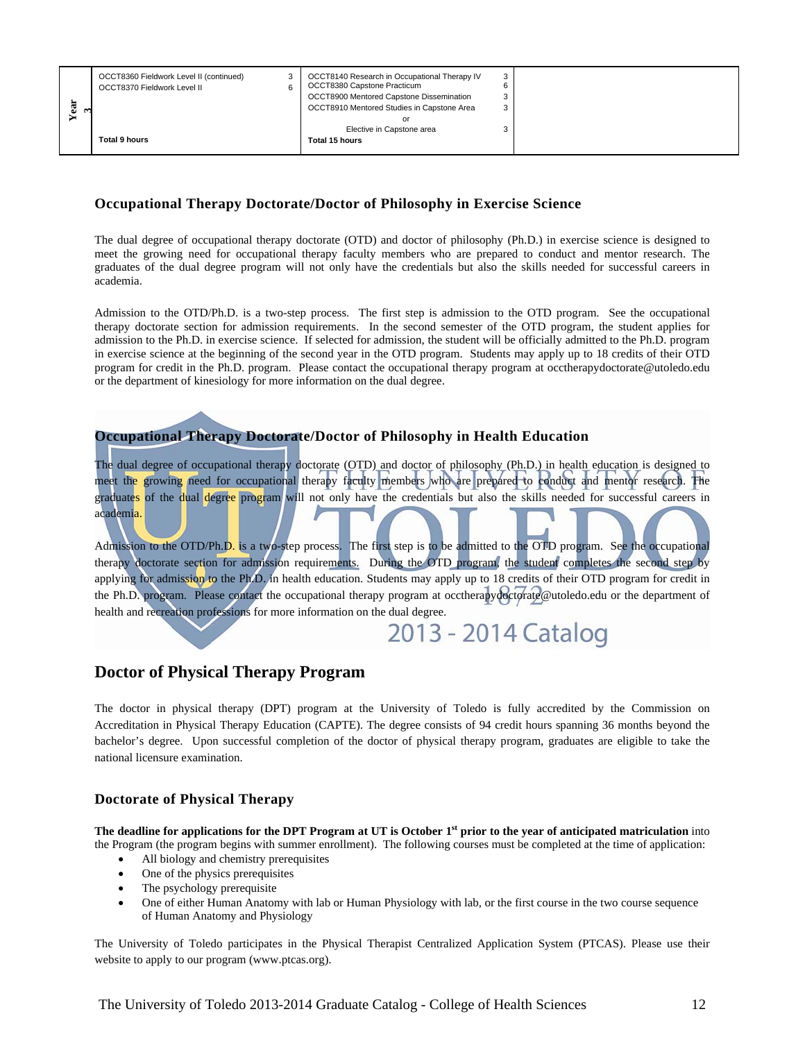| ದ<br>نه | OCCT8360 Fieldwork Level II (continued)<br>OCCT8370 Fieldwork Level II | 3 | OCCT8140 Research in Occupational Therapy IV<br>OCCT8380 Capstone Practicum<br>OCCT8900 Mentored Capstone Dissemination<br>OCCT8910 Mentored Studies in Capstone Area<br>or<br>Elective in Capstone area | 3 |
|---------|------------------------------------------------------------------------|---|----------------------------------------------------------------------------------------------------------------------------------------------------------------------------------------------------------|---|
|         | <b>Total 9 hours</b>                                                   |   | Total 15 hours                                                                                                                                                                                           |   |

#### **Occupational Therapy Doctorate/Doctor of Philosophy in Exercise Science**

The dual degree of occupational therapy doctorate (OTD) and doctor of philosophy (Ph.D.) in exercise science is designed to meet the growing need for occupational therapy faculty members who are prepared to conduct and mentor research. The graduates of the dual degree program will not only have the credentials but also the skills needed for successful careers in academia.

Admission to the OTD/Ph.D. is a two-step process. The first step is admission to the OTD program. See the occupational therapy doctorate section for admission requirements. In the second semester of the OTD program, the student applies for admission to the Ph.D. in exercise science. If selected for admission, the student will be officially admitted to the Ph.D. program in exercise science at the beginning of the second year in the OTD program. Students may apply up to 18 credits of their OTD program for credit in the Ph.D. program. Please contact the occupational therapy program at occtherapydoctorate@utoledo.edu or the department of kinesiology for more information on the dual degree.

#### **Occupational Therapy Doctorate/Doctor of Philosophy in Health Education**

The dual degree of occupational therapy doctorate (OTD) and doctor of philosophy (Ph.D.) in health education is designed to meet the growing need for occupational therapy faculty members who are prepared to conduct and mentor research. The graduates of the dual degree program will not only have the credentials but also the skills needed for successful careers in academia.

Admission to the OTD/Ph.D. is a two-step process. The first step is to be admitted to the OTD program. See the occupational therapy doctorate section for admission requirements. During the OTD program, the student completes the second step by applying for admission to the Ph.D. in health education. Students may apply up to 18 credits of their OTD program for credit in the Ph.D. program. Please contact the occupational therapy program at occtherapydoctorate@utoledo.edu or the department of health and recreation professions for more information on the dual degree.

## 2013 - 2014 Catalog

### **Doctor of Physical Therapy Program**

The doctor in physical therapy (DPT) program at the University of Toledo is fully accredited by the Commission on Accreditation in Physical Therapy Education (CAPTE). The degree consists of 94 credit hours spanning 36 months beyond the bachelor's degree. Upon successful completion of the doctor of physical therapy program, graduates are eligible to take the national licensure examination.

#### **Doctorate of Physical Therapy**

The deadline for applications for the DPT Program at UT is October 1<sup>st</sup> prior to the year of anticipated matriculation into the Program (the program begins with summer enrollment). The following courses must be completed at the time of application:

- All biology and chemistry prerequisites
- One of the physics prerequisites
- The psychology prerequisite
- One of either Human Anatomy with lab or Human Physiology with lab, or the first course in the two course sequence of Human Anatomy and Physiology

The University of Toledo participates in the Physical Therapist Centralized Application System (PTCAS). Please use their website to apply to our program (www.ptcas.org).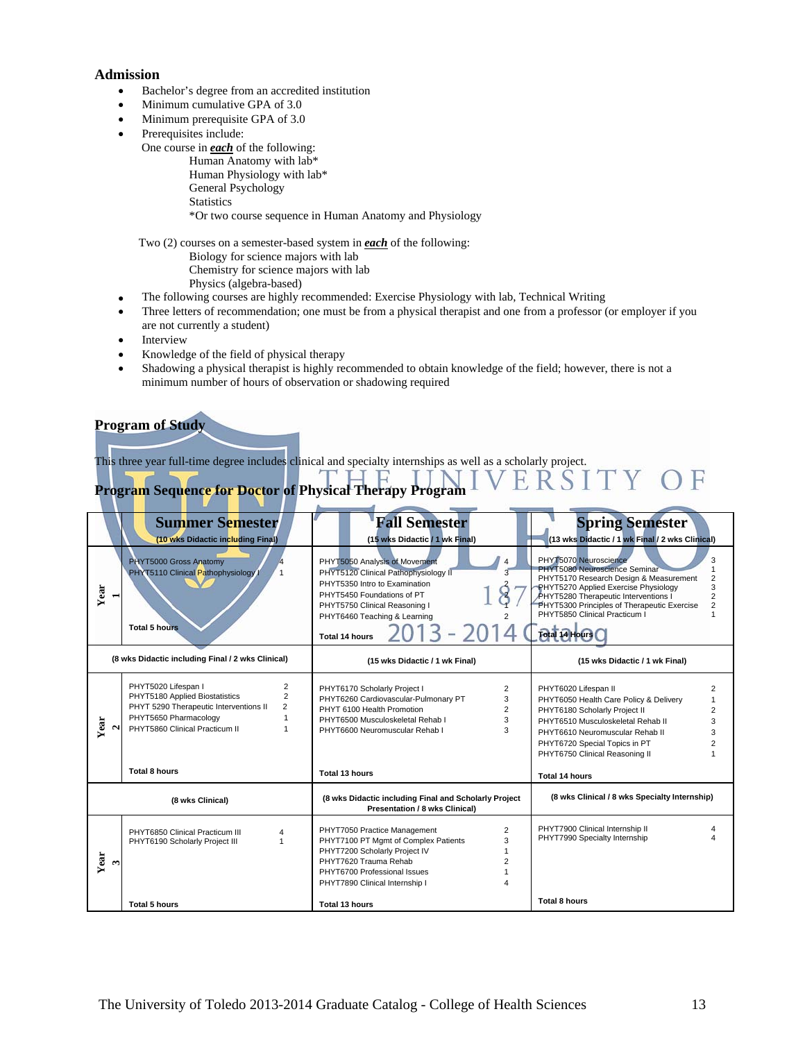#### **Admission**

- Bachelor's degree from an accredited institution
- Minimum cumulative GPA of 3.0
- Minimum prerequisite GPA of 3.0
- Prerequisites include:
	- One course in *each* of the following:

 Human Anatomy with lab\* Human Physiology with lab\* General Psychology **Statistics** \*Or two course sequence in Human Anatomy and Physiology

Two (2) courses on a semester-based system in *each* of the following:

- Biology for science majors with lab
- Chemistry for science majors with lab
- Physics (algebra-based)
- The following courses are highly recommended: Exercise Physiology with lab, Technical Writing
- Three letters of recommendation; one must be from a physical therapist and one from a professor (or employer if you are not currently a student)
- Interview
- Knowledge of the field of physical therapy
- Shadowing a physical therapist is highly recommended to obtain knowledge of the field; however, there is not a minimum number of hours of observation or shadowing required

#### **Program of Study**

This three year full-time degree includes clinical and specialty internships as well as a scholarly project.

## **Program Sequence for Doctor of Physical Therapy Program**

|                            | <b>Summer Semester</b>                                                                                                                                                                                                      | <b>Fall Semester</b>                                                                                                                                                                                                                                                      | <b>Spring Semester</b>                                                                                                                                                                                                                                                                                                                |
|----------------------------|-----------------------------------------------------------------------------------------------------------------------------------------------------------------------------------------------------------------------------|---------------------------------------------------------------------------------------------------------------------------------------------------------------------------------------------------------------------------------------------------------------------------|---------------------------------------------------------------------------------------------------------------------------------------------------------------------------------------------------------------------------------------------------------------------------------------------------------------------------------------|
|                            | (10 wks Didactic including Final)                                                                                                                                                                                           | (15 wks Didactic / 1 wk Final)                                                                                                                                                                                                                                            | (13 wks Didactic / 1 wk Final / 2 wks Clinical)                                                                                                                                                                                                                                                                                       |
| Year<br>$\blacksquare$     | PHYT5000 Gross Anatomy<br>PHYT5110 Clinical Pathophysiology I<br>$\mathbf{1}$<br><b>Total 5 hours</b>                                                                                                                       | PHYT5050 Analysis of Movement<br>$\overline{4}$<br>$\overline{\mathbf{3}}$<br>PHYT5120 Clinical Pathophysiology II<br>PHYT5350 Intro to Examination<br>PHYT5450 Foundations of PT<br>PHYT5750 Clinical Reasoning I<br>PHYT6460 Teaching & Learning<br>2<br>Total 14 hours | PHYT5070 Neuroscience<br>3<br>PHYT5080 Neuroscience Seminar<br>PHYT5170 Research Design & Measurement<br>$\overline{c}$<br>3<br>PHYT5270 Applied Exercise Physiology<br>PHYT5280 Therapeutic Interventions I<br>2<br>PHYT5300 Principles of Therapeutic Exercise<br>$\overline{2}$<br>PHYT5850 Clinical Practicum I<br>Total 14 Hours |
|                            | (8 wks Didactic including Final / 2 wks Clinical)                                                                                                                                                                           | (15 wks Didactic / 1 wk Final)                                                                                                                                                                                                                                            | (15 wks Didactic / 1 wk Final)                                                                                                                                                                                                                                                                                                        |
| Year                       | PHYT5020 Lifespan I<br>$\overline{2}$<br>PHYT5180 Applied Biostatistics<br>$\overline{2}$<br>PHYT 5290 Therapeutic Interventions II<br>2<br>PHYT5650 Pharmacology<br>PHYT5860 Clinical Practicum II<br><b>Total 8 hours</b> | PHYT6170 Scholarly Project I<br>2<br>PHYT6260 Cardiovascular-Pulmonary PT<br>3<br>PHYT 6100 Health Promotion<br>2<br>PHYT6500 Musculoskeletal Rehab I<br>3<br>PHYT6600 Neuromuscular Rehab I<br>3<br>Total 13 hours                                                       | PHYT6020 Lifespan II<br>2<br>PHYT6050 Health Care Policy & Delivery<br>PHYT6180 Scholarly Project II<br>2<br>PHYT6510 Musculoskeletal Rehab II<br>3<br>PHYT6610 Neuromuscular Rehab II<br>3<br>PHYT6720 Special Topics in PT<br>PHYT6750 Clinical Reasoning II<br><b>Total 14 hours</b>                                               |
|                            | (8 wks Clinical)                                                                                                                                                                                                            | (8 wks Didactic including Final and Scholarly Project<br><b>Presentation / 8 wks Clinical)</b>                                                                                                                                                                            | (8 wks Clinical / 8 wks Specialty Internship)                                                                                                                                                                                                                                                                                         |
| Year<br>$\mathbf{\hat{z}}$ | PHYT6850 Clinical Practicum III<br>4<br>PHYT6190 Scholarly Project III                                                                                                                                                      | $\overline{c}$<br>PHYT7050 Practice Management<br>PHYT7100 PT Mgmt of Complex Patients<br>3<br>PHYT7200 Scholarly Project IV<br>PHYT7620 Trauma Rehab<br>PHYT6700 Professional Issues<br>PHYT7890 Clinical Internship I                                                   | PHYT7900 Clinical Internship II<br>PHYT7990 Specialty Internship                                                                                                                                                                                                                                                                      |
|                            | Total 5 hours                                                                                                                                                                                                               | Total 13 hours                                                                                                                                                                                                                                                            | <b>Total 8 hours</b>                                                                                                                                                                                                                                                                                                                  |